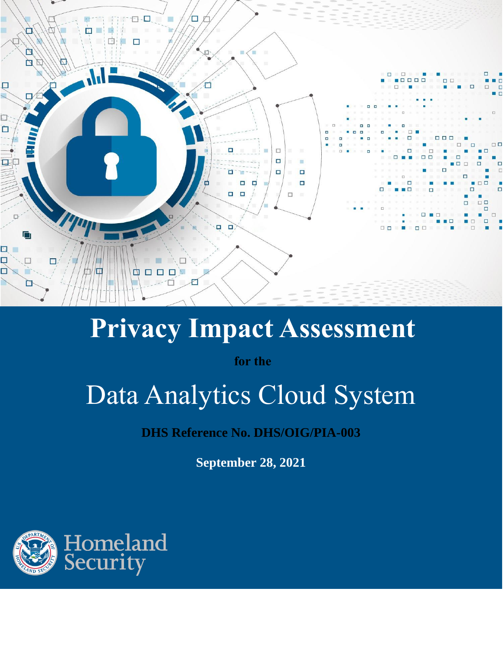

## **Privacy Impact Assessment**

**for the**

# Data Analytics Cloud System

**DHS Reference No. DHS/OIG/PIA-003**

**September 28, 2021**

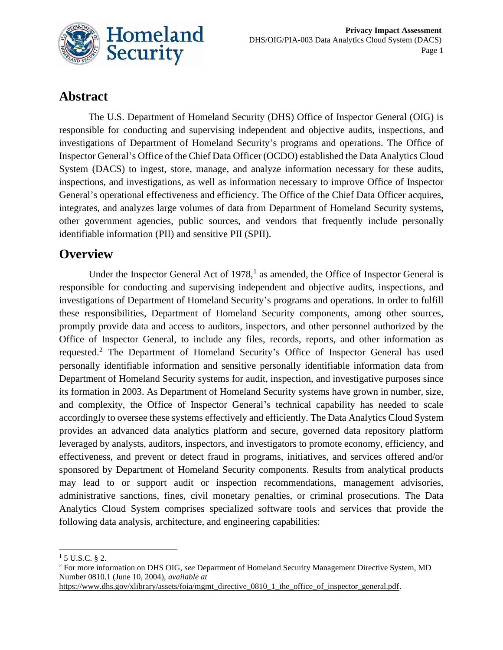

## **Abstract**

The U.S. Department of Homeland Security (DHS) Office of Inspector General (OIG) is responsible for conducting and supervising independent and objective audits, inspections, and investigations of Department of Homeland Security's programs and operations. The Office of Inspector General's Office of the Chief Data Officer (OCDO) established the Data Analytics Cloud System (DACS) to ingest, store, manage, and analyze information necessary for these audits, inspections, and investigations, as well as information necessary to improve Office of Inspector General's operational effectiveness and efficiency. The Office of the Chief Data Officer acquires, integrates, and analyzes large volumes of data from Department of Homeland Security systems, other government agencies, public sources, and vendors that frequently include personally identifiable information (PII) and sensitive PII (SPII).

## **Overview**

Under the Inspector General Act of  $1978$ ,<sup>1</sup> as amended, the Office of Inspector General is responsible for conducting and supervising independent and objective audits, inspections, and investigations of Department of Homeland Security's programs and operations. In order to fulfill these responsibilities, Department of Homeland Security components, among other sources, promptly provide data and access to auditors, inspectors, and other personnel authorized by the Office of Inspector General, to include any files, records, reports, and other information as requested.<sup>2</sup> The Department of Homeland Security's Office of Inspector General has used personally identifiable information and sensitive personally identifiable information data from Department of Homeland Security systems for audit, inspection, and investigative purposes since its formation in 2003. As Department of Homeland Security systems have grown in number, size, and complexity, the Office of Inspector General's technical capability has needed to scale accordingly to oversee these systems effectively and efficiently. The Data Analytics Cloud System provides an advanced data analytics platform and secure, governed data repository platform leveraged by analysts, auditors, inspectors, and investigators to promote economy, efficiency, and effectiveness, and prevent or detect fraud in programs, initiatives, and services offered and/or sponsored by Department of Homeland Security components. Results from analytical products may lead to or support audit or inspection recommendations, management advisories, administrative sanctions, fines, civil monetary penalties, or criminal prosecutions. The Data Analytics Cloud System comprises specialized software tools and services that provide the following data analysis, architecture, and engineering capabilities:

 $15$  U.S.C. § 2.

<sup>2</sup> For more information on DHS OIG, *see* Department of Homeland Security Management Directive System, MD Number 0810.1 (June 10, 2004), *available at* 

[https://www.dhs.gov/xlibrary/assets/foia/mgmt\\_directive\\_0810\\_1\\_the\\_office\\_of\\_inspector\\_general.pdf.](https://www.dhs.gov/xlibrary/assets/foia/mgmt_directive_0810_1_the_office_of_inspector_general.pdf)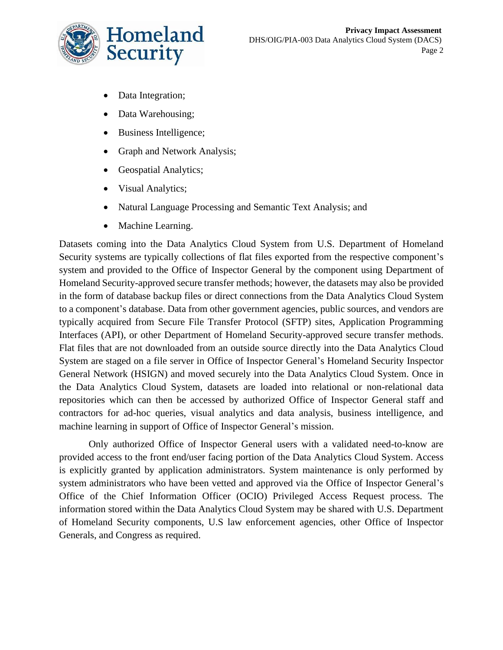

- Data Integration;
- Data Warehousing;
- Business Intelligence;
- Graph and Network Analysis;
- Geospatial Analytics;
- Visual Analytics;
- Natural Language Processing and Semantic Text Analysis; and
- Machine Learning.

Datasets coming into the Data Analytics Cloud System from U.S. Department of Homeland Security systems are typically collections of flat files exported from the respective component's system and provided to the Office of Inspector General by the component using Department of Homeland Security-approved secure transfer methods; however, the datasets may also be provided in the form of database backup files or direct connections from the Data Analytics Cloud System to a component's database. Data from other government agencies, public sources, and vendors are typically acquired from Secure File Transfer Protocol (SFTP) sites, Application Programming Interfaces (API), or other Department of Homeland Security-approved secure transfer methods. Flat files that are not downloaded from an outside source directly into the Data Analytics Cloud System are staged on a file server in Office of Inspector General's Homeland Security Inspector General Network (HSIGN) and moved securely into the Data Analytics Cloud System. Once in the Data Analytics Cloud System, datasets are loaded into relational or non-relational data repositories which can then be accessed by authorized Office of Inspector General staff and contractors for ad-hoc queries, visual analytics and data analysis, business intelligence, and machine learning in support of Office of Inspector General's mission.

Only authorized Office of Inspector General users with a validated need-to-know are provided access to the front end/user facing portion of the Data Analytics Cloud System. Access is explicitly granted by application administrators. System maintenance is only performed by system administrators who have been vetted and approved via the Office of Inspector General's Office of the Chief Information Officer (OCIO) Privileged Access Request process. The information stored within the Data Analytics Cloud System may be shared with U.S. Department of Homeland Security components, U.S law enforcement agencies, other Office of Inspector Generals, and Congress as required.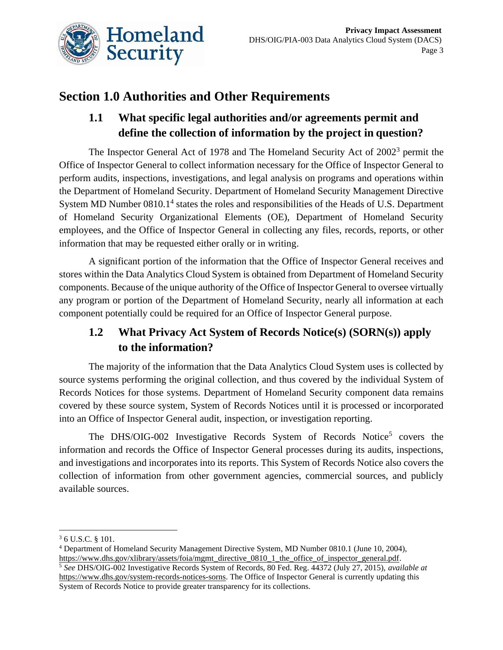

## **Section 1.0 Authorities and Other Requirements**

## **1.1 What specific legal authorities and/or agreements permit and define the collection of information by the project in question?**

The Inspector General Act of 1978 and The Homeland Security Act of 2002<sup>3</sup> permit the Office of Inspector General to collect information necessary for the Office of Inspector General to perform audits, inspections, investigations, and legal analysis on programs and operations within the Department of Homeland Security. Department of Homeland Security Management Directive System MD Number 0810.1<sup>4</sup> states the roles and responsibilities of the Heads of U.S. Department of Homeland Security Organizational Elements (OE), Department of Homeland Security employees, and the Office of Inspector General in collecting any files, records, reports, or other information that may be requested either orally or in writing.

A significant portion of the information that the Office of Inspector General receives and stores within the Data Analytics Cloud System is obtained from Department of Homeland Security components. Because of the unique authority of the Office of Inspector General to oversee virtually any program or portion of the Department of Homeland Security, nearly all information at each component potentially could be required for an Office of Inspector General purpose.

## **1.2 What Privacy Act System of Records Notice(s) (SORN(s)) apply to the information?**

The majority of the information that the Data Analytics Cloud System uses is collected by source systems performing the original collection, and thus covered by the individual System of Records Notices for those systems. Department of Homeland Security component data remains covered by these source system, System of Records Notices until it is processed or incorporated into an Office of Inspector General audit, inspection, or investigation reporting.

The DHS/OIG-002 Investigative Records System of Records Notice<sup>5</sup> covers the information and records the Office of Inspector General processes during its audits, inspections, and investigations and incorporates into its reports. This System of Records Notice also covers the collection of information from other government agencies, commercial sources, and publicly available sources.

<sup>3</sup> 6 U.S.C. § 101.

<sup>4</sup> Department of Homeland Security Management Directive System, MD Number 0810.1 (June 10, 2004), [https://www.dhs.gov/xlibrary/assets/foia/mgmt\\_directive\\_0810\\_1\\_the\\_office\\_of\\_inspector\\_general.pdf.](https://www.dhs.gov/xlibrary/assets/foia/mgmt_directive_0810_1_the_office_of_inspector_general.pdf)

<sup>5</sup> *See* DHS/OIG-002 Investigative Records System of Records, 80 Fed. Reg. 44372 (July 27, 2015), *available at* [https://www.dhs.gov/system-records-notices-sorns.](https://www.dhs.gov/system-records-notices-sorns) The Office of Inspector General is currently updating this System of Records Notice to provide greater transparency for its collections.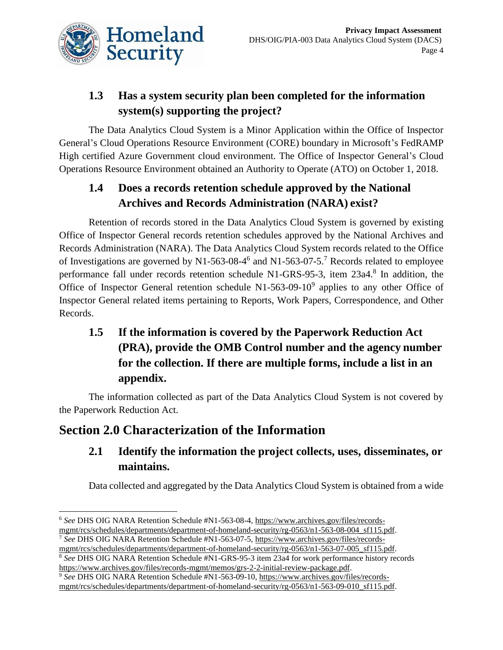

## **1.3 Has a system security plan been completed for the information system(s) supporting the project?**

The Data Analytics Cloud System is a Minor Application within the Office of Inspector General's Cloud Operations Resource Environment (CORE) boundary in Microsoft's FedRAMP High certified Azure Government cloud environment. The Office of Inspector General's Cloud Operations Resource Environment obtained an Authority to Operate (ATO) on October 1, 2018.

## **1.4 Does a records retention schedule approved by the National Archives and Records Administration (NARA) exist?**

Retention of records stored in the Data Analytics Cloud System is governed by existing Office of Inspector General records retention schedules approved by the National Archives and Records Administration (NARA). The Data Analytics Cloud System records related to the Office of Investigations are governed by N1-563-08-4<sup>6</sup> and N1-563-07-5.<sup>7</sup> Records related to employee performance fall under records retention schedule N1-GRS-95-3, item 23a4.<sup>8</sup> In addition, the Office of Inspector General retention schedule  $N1-563-09-10^9$  applies to any other Office of Inspector General related items pertaining to Reports, Work Papers, Correspondence, and Other Records.

## **1.5 If the information is covered by the Paperwork Reduction Act (PRA), provide the OMB Control number and the agency number for the collection. If there are multiple forms, include a list in an appendix.**

The information collected as part of the Data Analytics Cloud System is not covered by the Paperwork Reduction Act.

## **Section 2.0 Characterization of the Information**

## **2.1 Identify the information the project collects, uses, disseminates, or maintains.**

Data collected and aggregated by the Data Analytics Cloud System is obtained from a wide

<sup>8</sup> *See* DHS OIG NARA Retention Schedule #N1-GRS-95-3 item 23a4 for work performance history records [https://www.archives.gov/files/records-mgmt/memos/grs-2-2-initial-review-package.pdf.](https://www.archives.gov/files/records-mgmt/memos/grs-2-2-initial-review-package.pdf)

<sup>&</sup>lt;sup>6</sup> See DHS OIG NARA Retention Schedule #N1-563-08-4[, https://www.archives.gov/files/records](https://www.archives.gov/files/records-mgmt/rcs/schedules/departments/department-of-homeland-security/rg-0563/n1-563-08-004_sf115.pdf)[mgmt/rcs/schedules/departments/department-of-homeland-security/rg-0563/n1-563-08-004\\_sf115.pdf.](https://www.archives.gov/files/records-mgmt/rcs/schedules/departments/department-of-homeland-security/rg-0563/n1-563-08-004_sf115.pdf) <sup>7</sup> *See* DHS OIG NARA Retention Schedule #N1-563-07-5[, https://www.archives.gov/files/records-](https://www.archives.gov/files/records-mgmt/rcs/schedules/departments/department-of-homeland-security/rg-0563/n1-563-07-005_sf115.pdf)

[mgmt/rcs/schedules/departments/department-of-homeland-security/rg-0563/n1-563-07-005\\_sf115.pdf.](https://www.archives.gov/files/records-mgmt/rcs/schedules/departments/department-of-homeland-security/rg-0563/n1-563-07-005_sf115.pdf)

<sup>9</sup> *See* DHS OIG NARA Retention Schedule #N1-563-09-10[, https://www.archives.gov/files/records](https://www.archives.gov/files/records-mgmt/rcs/schedules/departments/department-of-homeland-security/rg-0563/n1-563-09-010_sf115.pdf)[mgmt/rcs/schedules/departments/department-of-homeland-security/rg-0563/n1-563-09-010\\_sf115.pdf.](https://www.archives.gov/files/records-mgmt/rcs/schedules/departments/department-of-homeland-security/rg-0563/n1-563-09-010_sf115.pdf)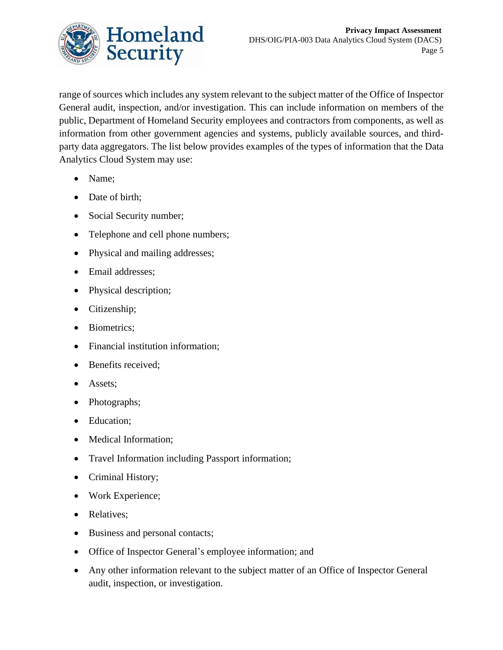

range of sources which includes any system relevant to the subject matter of the Office of Inspector General audit, inspection, and/or investigation. This can include information on members of the public, Department of Homeland Security employees and contractors from components, as well as information from other government agencies and systems, publicly available sources, and thirdparty data aggregators. The list below provides examples of the types of information that the Data Analytics Cloud System may use:

- Name;
- Date of birth:
- Social Security number;
- Telephone and cell phone numbers;
- Physical and mailing addresses;
- Email addresses;
- Physical description;
- Citizenship;
- Biometrics;
- Financial institution information;
- Benefits received;
- Assets;
- Photographs;
- Education;
- Medical Information:
- Travel Information including Passport information;
- Criminal History;
- Work Experience;
- Relatives;
- Business and personal contacts;
- Office of Inspector General's employee information; and
- Any other information relevant to the subject matter of an Office of Inspector General audit, inspection, or investigation.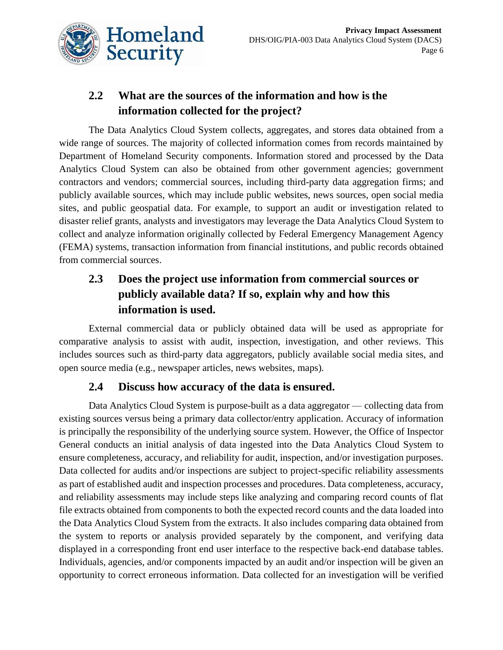

## **2.2 What are the sources of the information and how is the information collected for the project?**

The Data Analytics Cloud System collects, aggregates, and stores data obtained from a wide range of sources. The majority of collected information comes from records maintained by Department of Homeland Security components. Information stored and processed by the Data Analytics Cloud System can also be obtained from other government agencies; government contractors and vendors; commercial sources, including third-party data aggregation firms; and publicly available sources, which may include public websites, news sources, open social media sites, and public geospatial data. For example, to support an audit or investigation related to disaster relief grants, analysts and investigators may leverage the Data Analytics Cloud System to collect and analyze information originally collected by Federal Emergency Management Agency (FEMA) systems, transaction information from financial institutions, and public records obtained from commercial sources.

## **2.3 Does the project use information from commercial sources or publicly available data? If so, explain why and how this information is used.**

External commercial data or publicly obtained data will be used as appropriate for comparative analysis to assist with audit, inspection, investigation, and other reviews. This includes sources such as third-party data aggregators, publicly available social media sites, and open source media (e.g., newspaper articles, news websites, maps).

#### **2.4 Discuss how accuracy of the data is ensured.**

Data Analytics Cloud System is purpose-built as a data aggregator — collecting data from existing sources versus being a primary data collector/entry application. Accuracy of information is principally the responsibility of the underlying source system. However, the Office of Inspector General conducts an initial analysis of data ingested into the Data Analytics Cloud System to ensure completeness, accuracy, and reliability for audit, inspection, and/or investigation purposes. Data collected for audits and/or inspections are subject to project-specific reliability assessments as part of established audit and inspection processes and procedures. Data completeness, accuracy, and reliability assessments may include steps like analyzing and comparing record counts of flat file extracts obtained from components to both the expected record counts and the data loaded into the Data Analytics Cloud System from the extracts. It also includes comparing data obtained from the system to reports or analysis provided separately by the component, and verifying data displayed in a corresponding front end user interface to the respective back-end database tables. Individuals, agencies, and/or components impacted by an audit and/or inspection will be given an opportunity to correct erroneous information. Data collected for an investigation will be verified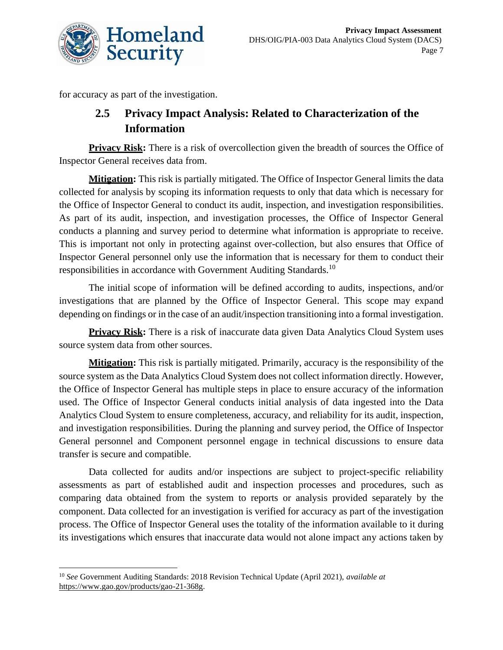

for accuracy as part of the investigation.

## **2.5 Privacy Impact Analysis: Related to Characterization of the Information**

**Privacy Risk:** There is a risk of overcollection given the breadth of sources the Office of Inspector General receives data from.

**Mitigation:** This risk is partially mitigated. The Office of Inspector General limits the data collected for analysis by scoping its information requests to only that data which is necessary for the Office of Inspector General to conduct its audit, inspection, and investigation responsibilities. As part of its audit, inspection, and investigation processes, the Office of Inspector General conducts a planning and survey period to determine what information is appropriate to receive. This is important not only in protecting against over-collection, but also ensures that Office of Inspector General personnel only use the information that is necessary for them to conduct their responsibilities in accordance with Government Auditing Standards.<sup>10</sup>

The initial scope of information will be defined according to audits, inspections, and/or investigations that are planned by the Office of Inspector General. This scope may expand depending on findings or in the case of an audit/inspection transitioning into a formal investigation.

**Privacy Risk:** There is a risk of inaccurate data given Data Analytics Cloud System uses source system data from other sources.

**Mitigation:** This risk is partially mitigated. Primarily, accuracy is the responsibility of the source system as the Data Analytics Cloud System does not collect information directly. However, the Office of Inspector General has multiple steps in place to ensure accuracy of the information used. The Office of Inspector General conducts initial analysis of data ingested into the Data Analytics Cloud System to ensure completeness, accuracy, and reliability for its audit, inspection, and investigation responsibilities. During the planning and survey period, the Office of Inspector General personnel and Component personnel engage in technical discussions to ensure data transfer is secure and compatible.

Data collected for audits and/or inspections are subject to project-specific reliability assessments as part of established audit and inspection processes and procedures, such as comparing data obtained from the system to reports or analysis provided separately by the component. Data collected for an investigation is verified for accuracy as part of the investigation process. The Office of Inspector General uses the totality of the information available to it during its investigations which ensures that inaccurate data would not alone impact any actions taken by

<sup>10</sup> *See* Government Auditing Standards: 2018 Revision Technical Update (April 2021), *available at* [https://www.gao.gov/products/gao-21-368g.](https://www.gao.gov/products/gao-21-368g)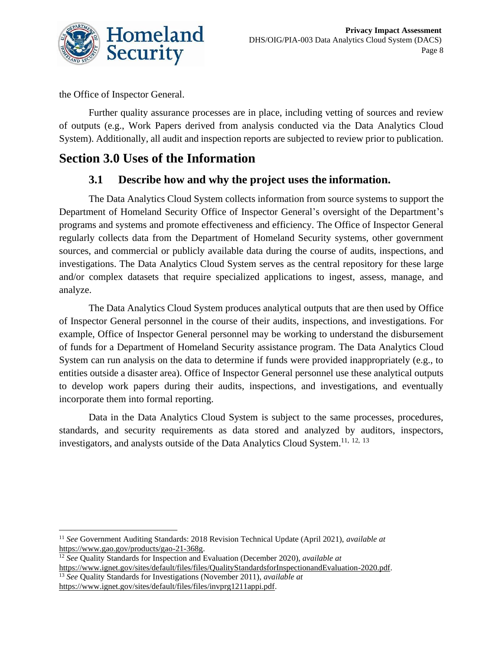

the Office of Inspector General.

Further quality assurance processes are in place, including vetting of sources and review of outputs (e.g., Work Papers derived from analysis conducted via the Data Analytics Cloud System). Additionally, all audit and inspection reports are subjected to review prior to publication.

## **Section 3.0 Uses of the Information**

## **3.1 Describe how and why the project uses the information.**

The Data Analytics Cloud System collects information from source systems to support the Department of Homeland Security Office of Inspector General's oversight of the Department's programs and systems and promote effectiveness and efficiency. The Office of Inspector General regularly collects data from the Department of Homeland Security systems, other government sources, and commercial or publicly available data during the course of audits, inspections, and investigations. The Data Analytics Cloud System serves as the central repository for these large and/or complex datasets that require specialized applications to ingest, assess, manage, and analyze.

The Data Analytics Cloud System produces analytical outputs that are then used by Office of Inspector General personnel in the course of their audits, inspections, and investigations. For example, Office of Inspector General personnel may be working to understand the disbursement of funds for a Department of Homeland Security assistance program. The Data Analytics Cloud System can run analysis on the data to determine if funds were provided inappropriately (e.g., to entities outside a disaster area). Office of Inspector General personnel use these analytical outputs to develop work papers during their audits, inspections, and investigations, and eventually incorporate them into formal reporting.

Data in the Data Analytics Cloud System is subject to the same processes, procedures, standards, and security requirements as data stored and analyzed by auditors, inspectors, investigators, and analysts outside of the Data Analytics Cloud System.<sup>11, 12, 13</sup>

<sup>11</sup> *See* Government Auditing Standards: 2018 Revision Technical Update (April 2021), *available at* [https://www.gao.gov/products/gao-21-368g.](https://www.gao.gov/products/gao-21-368g)

<sup>12</sup> *See* Quality Standards for Inspection and Evaluation (December 2020), *available at*

[https://www.ignet.gov/sites/default/files/files/QualityStandardsforInspectionandEvaluation-2020.pdf.](https://www.ignet.gov/sites/default/files/files/QualityStandardsforInspectionandEvaluation-2020.pdf) <sup>13</sup> *See* Quality Standards for Investigations (November 2011), *available at* [https://www.ignet.gov/sites/default/files/files/invprg1211appi.pdf.](https://www.ignet.gov/sites/default/files/files/invprg1211appi.pdf)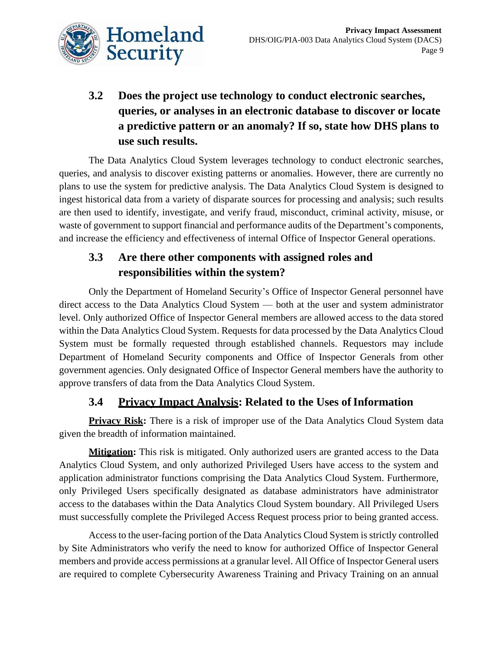

## **3.2 Does the project use technology to conduct electronic searches, queries, or analyses in an electronic database to discover or locate a predictive pattern or an anomaly? If so, state how DHS plans to use such results.**

The Data Analytics Cloud System leverages technology to conduct electronic searches, queries, and analysis to discover existing patterns or anomalies. However, there are currently no plans to use the system for predictive analysis. The Data Analytics Cloud System is designed to ingest historical data from a variety of disparate sources for processing and analysis; such results are then used to identify, investigate, and verify fraud, misconduct, criminal activity, misuse, or waste of government to support financial and performance audits of the Department's components, and increase the efficiency and effectiveness of internal Office of Inspector General operations.

## **3.3 Are there other components with assigned roles and responsibilities within the system?**

Only the Department of Homeland Security's Office of Inspector General personnel have direct access to the Data Analytics Cloud System — both at the user and system administrator level. Only authorized Office of Inspector General members are allowed access to the data stored within the Data Analytics Cloud System. Requests for data processed by the Data Analytics Cloud System must be formally requested through established channels. Requestors may include Department of Homeland Security components and Office of Inspector Generals from other government agencies. Only designated Office of Inspector General members have the authority to approve transfers of data from the Data Analytics Cloud System.

#### **3.4** Privacy Impact Analysis: Related to the Uses of Information

**Privacy Risk:** There is a risk of improper use of the Data Analytics Cloud System data given the breadth of information maintained.

**Mitigation:** This risk is mitigated. Only authorized users are granted access to the Data Analytics Cloud System, and only authorized Privileged Users have access to the system and application administrator functions comprising the Data Analytics Cloud System. Furthermore, only Privileged Users specifically designated as database administrators have administrator access to the databases within the Data Analytics Cloud System boundary. All Privileged Users must successfully complete the Privileged Access Request process prior to being granted access.

Access to the user-facing portion of the Data Analytics Cloud System is strictly controlled by Site Administrators who verify the need to know for authorized Office of Inspector General members and provide access permissions at a granular level. All Office of Inspector General users are required to complete Cybersecurity Awareness Training and Privacy Training on an annual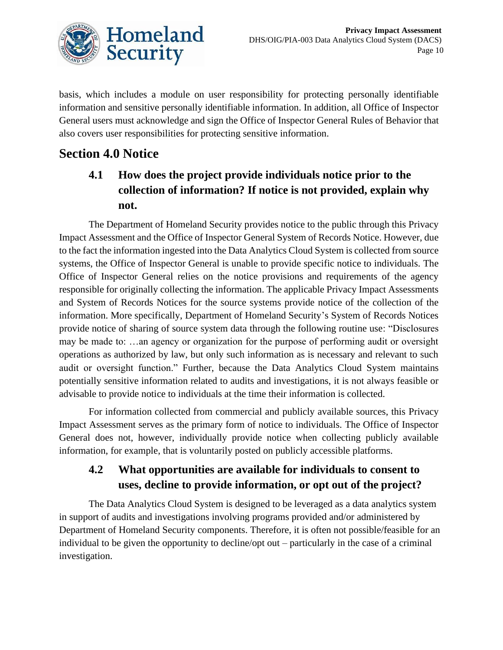

basis, which includes a module on user responsibility for protecting personally identifiable information and sensitive personally identifiable information. In addition, all Office of Inspector General users must acknowledge and sign the Office of Inspector General Rules of Behavior that also covers user responsibilities for protecting sensitive information.

## **Section 4.0 Notice**

## **4.1 How does the project provide individuals notice prior to the collection of information? If notice is not provided, explain why not.**

The Department of Homeland Security provides notice to the public through this Privacy Impact Assessment and the Office of Inspector General System of Records Notice. However, due to the fact the information ingested into the Data Analytics Cloud System is collected from source systems, the Office of Inspector General is unable to provide specific notice to individuals. The Office of Inspector General relies on the notice provisions and requirements of the agency responsible for originally collecting the information. The applicable Privacy Impact Assessments and System of Records Notices for the source systems provide notice of the collection of the information. More specifically, Department of Homeland Security's System of Records Notices provide notice of sharing of source system data through the following routine use: "Disclosures may be made to: …an agency or organization for the purpose of performing audit or oversight operations as authorized by law, but only such information as is necessary and relevant to such audit or oversight function." Further, because the Data Analytics Cloud System maintains potentially sensitive information related to audits and investigations, it is not always feasible or advisable to provide notice to individuals at the time their information is collected.

For information collected from commercial and publicly available sources, this Privacy Impact Assessment serves as the primary form of notice to individuals. The Office of Inspector General does not, however, individually provide notice when collecting publicly available information, for example, that is voluntarily posted on publicly accessible platforms.

## **4.2 What opportunities are available for individuals to consent to uses, decline to provide information, or opt out of the project?**

The Data Analytics Cloud System is designed to be leveraged as a data analytics system in support of audits and investigations involving programs provided and/or administered by Department of Homeland Security components. Therefore, it is often not possible/feasible for an individual to be given the opportunity to decline/opt out – particularly in the case of a criminal investigation.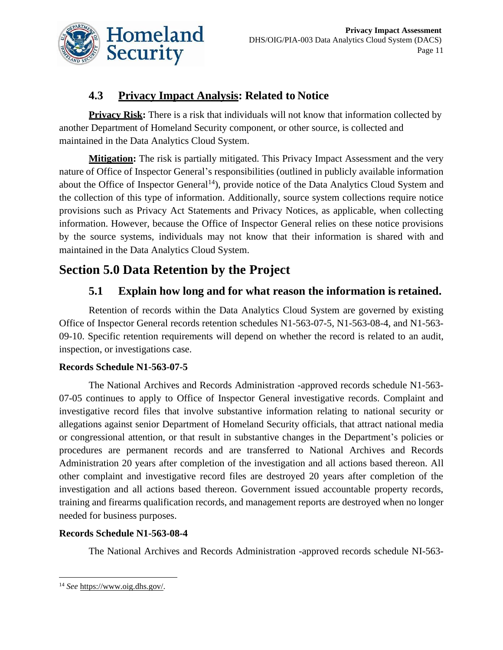

## **4.3 Privacy Impact Analysis: Related to Notice**

**Privacy Risk:** There is a risk that individuals will not know that information collected by another Department of Homeland Security component, or other source, is collected and maintained in the Data Analytics Cloud System.

**Mitigation:** The risk is partially mitigated. This Privacy Impact Assessment and the very nature of Office of Inspector General's responsibilities (outlined in publicly available information about the Office of Inspector General<sup>14</sup>), provide notice of the Data Analytics Cloud System and the collection of this type of information. Additionally, source system collections require notice provisions such as Privacy Act Statements and Privacy Notices, as applicable, when collecting information. However, because the Office of Inspector General relies on these notice provisions by the source systems, individuals may not know that their information is shared with and maintained in the Data Analytics Cloud System.

## **Section 5.0 Data Retention by the Project**

## **5.1 Explain how long and for what reason the information is retained.**

Retention of records within the Data Analytics Cloud System are governed by existing Office of Inspector General records retention schedules N1-563-07-5, N1-563-08-4, and N1-563- 09-10. Specific retention requirements will depend on whether the record is related to an audit, inspection, or investigations case.

#### **Records Schedule N1-563-07-5**

The National Archives and Records Administration -approved records schedule N1-563- 07-05 continues to apply to Office of Inspector General investigative records. Complaint and investigative record files that involve substantive information relating to national security or allegations against senior Department of Homeland Security officials, that attract national media or congressional attention, or that result in substantive changes in the Department's policies or procedures are permanent records and are transferred to National Archives and Records Administration 20 years after completion of the investigation and all actions based thereon. All other complaint and investigative record files are destroyed 20 years after completion of the investigation and all actions based thereon. Government issued accountable property records, training and firearms qualification records, and management reports are destroyed when no longer needed for business purposes.

#### **Records Schedule N1-563-08-4**

The National Archives and Records Administration -approved records schedule NI-563-

<sup>14</sup> *See* [https://www.oig.dhs.gov/.](https://www.oig.dhs.gov/)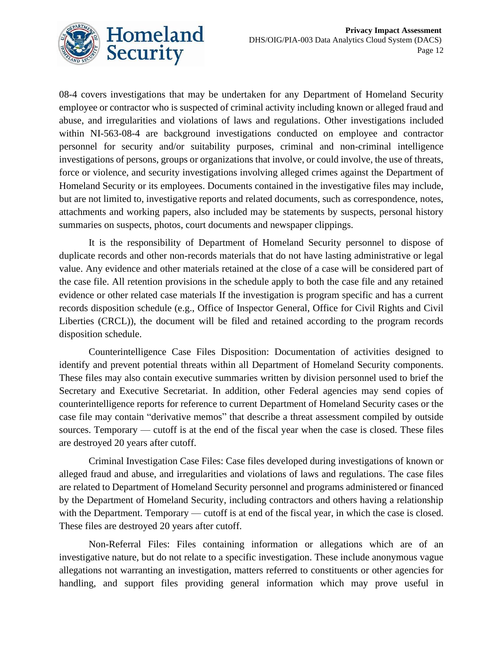

08-4 covers investigations that may be undertaken for any Department of Homeland Security employee or contractor who is suspected of criminal activity including known or alleged fraud and abuse, and irregularities and violations of laws and regulations. Other investigations included within NI-563-08-4 are background investigations conducted on employee and contractor personnel for security and/or suitability purposes, criminal and non-criminal intelligence investigations of persons, groups or organizations that involve, or could involve, the use of threats, force or violence, and security investigations involving alleged crimes against the Department of Homeland Security or its employees. Documents contained in the investigative files may include, but are not limited to, investigative reports and related documents, such as correspondence, notes, attachments and working papers, also included may be statements by suspects, personal history summaries on suspects, photos, court documents and newspaper clippings.

It is the responsibility of Department of Homeland Security personnel to dispose of duplicate records and other non-records materials that do not have lasting administrative or legal value. Any evidence and other materials retained at the close of a case will be considered part of the case file. All retention provisions in the schedule apply to both the case file and any retained evidence or other related case materials If the investigation is program specific and has a current records disposition schedule (e.g., Office of Inspector General, Office for Civil Rights and Civil Liberties (CRCL)), the document will be filed and retained according to the program records disposition schedule.

Counterintelligence Case Files Disposition: Documentation of activities designed to identify and prevent potential threats within all Department of Homeland Security components. These files may also contain executive summaries written by division personnel used to brief the Secretary and Executive Secretariat. In addition, other Federal agencies may send copies of counterintelligence reports for reference to current Department of Homeland Security cases or the case file may contain "derivative memos" that describe a threat assessment compiled by outside sources. Temporary — cutoff is at the end of the fiscal year when the case is closed. These files are destroyed 20 years after cutoff.

Criminal Investigation Case Files: Case files developed during investigations of known or alleged fraud and abuse, and irregularities and violations of laws and regulations. The case files are related to Department of Homeland Security personnel and programs administered or financed by the Department of Homeland Security, including contractors and others having a relationship with the Department. Temporary — cutoff is at end of the fiscal year, in which the case is closed. These files are destroyed 20 years after cutoff.

Non-Referral Files: Files containing information or allegations which are of an investigative nature, but do not relate to a specific investigation. These include anonymous vague allegations not warranting an investigation, matters referred to constituents or other agencies for handling, and support files providing general information which may prove useful in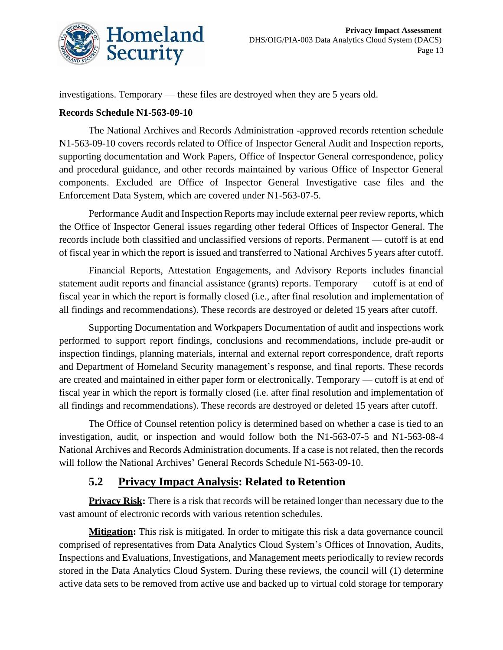

investigations. Temporary — these files are destroyed when they are 5 years old.

#### **Records Schedule N1-563-09-10**

The National Archives and Records Administration -approved records retention schedule N1-563-09-10 covers records related to Office of Inspector General Audit and Inspection reports, supporting documentation and Work Papers, Office of Inspector General correspondence, policy and procedural guidance, and other records maintained by various Office of Inspector General components. Excluded are Office of Inspector General Investigative case files and the Enforcement Data System, which are covered under N1-563-07-5.

Performance Audit and Inspection Reports may include external peer review reports, which the Office of Inspector General issues regarding other federal Offices of Inspector General. The records include both classified and unclassified versions of reports. Permanent — cutoff is at end of fiscal year in which the report is issued and transferred to National Archives 5 years after cutoff.

Financial Reports, Attestation Engagements, and Advisory Reports includes financial statement audit reports and financial assistance (grants) reports. Temporary — cutoff is at end of fiscal year in which the report is formally closed (i.e., after final resolution and implementation of all findings and recommendations). These records are destroyed or deleted 15 years after cutoff.

Supporting Documentation and Workpapers Documentation of audit and inspections work performed to support report findings, conclusions and recommendations, include pre-audit or inspection findings, planning materials, internal and external report correspondence, draft reports and Department of Homeland Security management's response, and final reports. These records are created and maintained in either paper form or electronically. Temporary — cutoff is at end of fiscal year in which the report is formally closed (i.e. after final resolution and implementation of all findings and recommendations). These records are destroyed or deleted 15 years after cutoff.

The Office of Counsel retention policy is determined based on whether a case is tied to an investigation, audit, or inspection and would follow both the N1-563-07-5 and N1-563-08-4 National Archives and Records Administration documents. If a case is not related, then the records will follow the National Archives' General Records Schedule N1-563-09-10.

## **5.2 Privacy Impact Analysis: Related to Retention**

**Privacy Risk:** There is a risk that records will be retained longer than necessary due to the vast amount of electronic records with various retention schedules.

**Mitigation:** This risk is mitigated. In order to mitigate this risk a data governance council comprised of representatives from Data Analytics Cloud System's Offices of Innovation, Audits, Inspections and Evaluations, Investigations, and Management meets periodically to review records stored in the Data Analytics Cloud System. During these reviews, the council will (1) determine active data sets to be removed from active use and backed up to virtual cold storage for temporary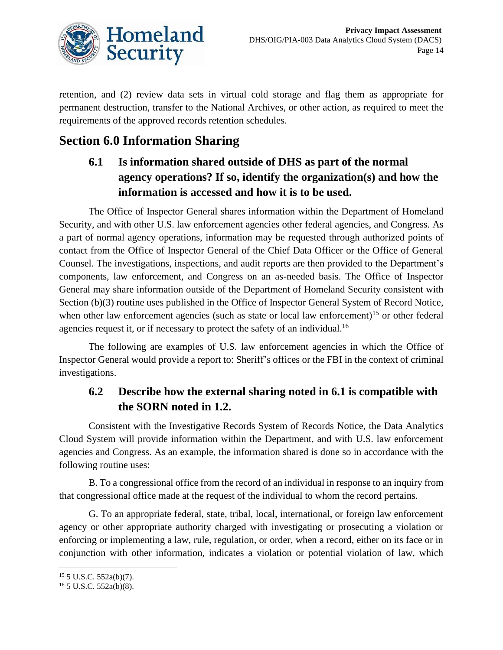![](_page_14_Picture_0.jpeg)

retention, and (2) review data sets in virtual cold storage and flag them as appropriate for permanent destruction, transfer to the National Archives, or other action, as required to meet the requirements of the approved records retention schedules.

## **Section 6.0 Information Sharing**

## **6.1 Is information shared outside of DHS as part of the normal agency operations? If so, identify the organization(s) and how the information is accessed and how it is to be used.**

The Office of Inspector General shares information within the Department of Homeland Security, and with other U.S. law enforcement agencies other federal agencies, and Congress. As a part of normal agency operations, information may be requested through authorized points of contact from the Office of Inspector General of the Chief Data Officer or the Office of General Counsel. The investigations, inspections, and audit reports are then provided to the Department's components, law enforcement, and Congress on an as-needed basis. The Office of Inspector General may share information outside of the Department of Homeland Security consistent with Section (b)(3) routine uses published in the Office of Inspector General System of Record Notice, when other law enforcement agencies (such as state or local law enforcement)<sup>15</sup> or other federal agencies request it, or if necessary to protect the safety of an individual.<sup>16</sup>

The following are examples of U.S. law enforcement agencies in which the Office of Inspector General would provide a report to: Sheriff's offices or the FBI in the context of criminal investigations.

## **6.2 Describe how the external sharing noted in 6.1 is compatible with the SORN noted in 1.2.**

Consistent with the Investigative Records System of Records Notice, the Data Analytics Cloud System will provide information within the Department, and with U.S. law enforcement agencies and Congress. As an example, the information shared is done so in accordance with the following routine uses:

B. To a congressional office from the record of an individual in response to an inquiry from that congressional office made at the request of the individual to whom the record pertains.

G. To an appropriate federal, state, tribal, local, international, or foreign law enforcement agency or other appropriate authority charged with investigating or prosecuting a violation or enforcing or implementing a law, rule, regulation, or order, when a record, either on its face or in conjunction with other information, indicates a violation or potential violation of law, which

<sup>15</sup> 5 U.S.C. 552a(b)(7).

<sup>16</sup> 5 U.S.C. 552a(b)(8).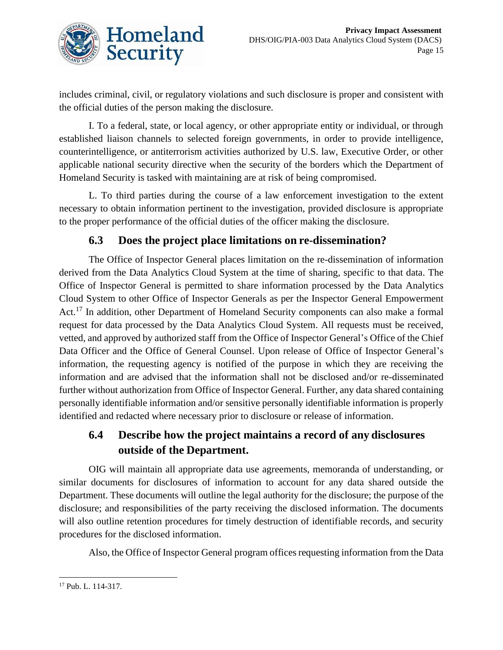![](_page_15_Picture_0.jpeg)

includes criminal, civil, or regulatory violations and such disclosure is proper and consistent with the official duties of the person making the disclosure.

I. To a federal, state, or local agency, or other appropriate entity or individual, or through established liaison channels to selected foreign governments, in order to provide intelligence, counterintelligence, or antiterrorism activities authorized by U.S. law, Executive Order, or other applicable national security directive when the security of the borders which the Department of Homeland Security is tasked with maintaining are at risk of being compromised.

L. To third parties during the course of a law enforcement investigation to the extent necessary to obtain information pertinent to the investigation, provided disclosure is appropriate to the proper performance of the official duties of the officer making the disclosure.

#### **6.3 Does the project place limitations on re-dissemination?**

The Office of Inspector General places limitation on the re-dissemination of information derived from the Data Analytics Cloud System at the time of sharing, specific to that data. The Office of Inspector General is permitted to share information processed by the Data Analytics Cloud System to other Office of Inspector Generals as per the Inspector General Empowerment Act.<sup>17</sup> In addition, other Department of Homeland Security components can also make a formal request for data processed by the Data Analytics Cloud System. All requests must be received, vetted, and approved by authorized staff from the Office of Inspector General's Office of the Chief Data Officer and the Office of General Counsel. Upon release of Office of Inspector General's information, the requesting agency is notified of the purpose in which they are receiving the information and are advised that the information shall not be disclosed and/or re-disseminated further without authorization from Office of Inspector General. Further, any data shared containing personally identifiable information and/or sensitive personally identifiable information is properly identified and redacted where necessary prior to disclosure or release of information.

## **6.4 Describe how the project maintains a record of any disclosures outside of the Department.**

OIG will maintain all appropriate data use agreements, memoranda of understanding, or similar documents for disclosures of information to account for any data shared outside the Department. These documents will outline the legal authority for the disclosure; the purpose of the disclosure; and responsibilities of the party receiving the disclosed information. The documents will also outline retention procedures for timely destruction of identifiable records, and security procedures for the disclosed information.

Also, the Office of Inspector General program offices requesting information from the Data

<sup>17</sup> Pub. L. 114-317.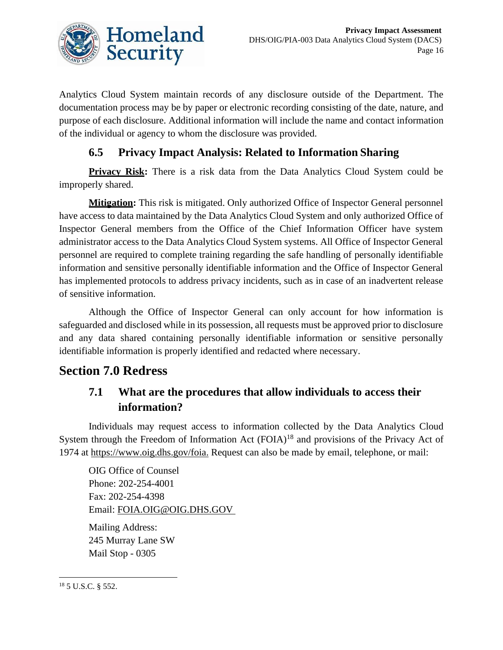![](_page_16_Picture_0.jpeg)

Analytics Cloud System maintain records of any disclosure outside of the Department. The documentation process may be by paper or electronic recording consisting of the date, nature, and purpose of each disclosure. Additional information will include the name and contact information of the individual or agency to whom the disclosure was provided.

## **6.5 Privacy Impact Analysis: Related to Information Sharing**

Privacy Risk: There is a risk data from the Data Analytics Cloud System could be improperly shared.

**Mitigation:** This risk is mitigated. Only authorized Office of Inspector General personnel have access to data maintained by the Data Analytics Cloud System and only authorized Office of Inspector General members from the Office of the Chief Information Officer have system administrator access to the Data Analytics Cloud System systems. All Office of Inspector General personnel are required to complete training regarding the safe handling of personally identifiable information and sensitive personally identifiable information and the Office of Inspector General has implemented protocols to address privacy incidents, such as in case of an inadvertent release of sensitive information.

Although the Office of Inspector General can only account for how information is safeguarded and disclosed while in its possession, all requests must be approved prior to disclosure and any data shared containing personally identifiable information or sensitive personally identifiable information is properly identified and redacted where necessary.

## **Section 7.0 Redress**

## **7.1 What are the procedures that allow individuals to access their information?**

Individuals may request access to information collected by the Data Analytics Cloud System through the Freedom of Information Act  $(FOIA)^{18}$  and provisions of the Privacy Act of 1974 at [https://www.oig.dhs.gov/foia.](https://www.oig.dhs.gov/foia) Request can also be made by email, telephone, or mail:

OIG Office of Counsel Phone: 202-254-4001 Fax: 202-254-4398 Email: [FOIA.OIG@OIG.DHS.GOV](mailto:FOIA.OIG@OIG.DHS.GOV) 

Mailing Address: 245 Murray Lane SW Mail Stop - 0305

<sup>18</sup> 5 U.S.C. § 552.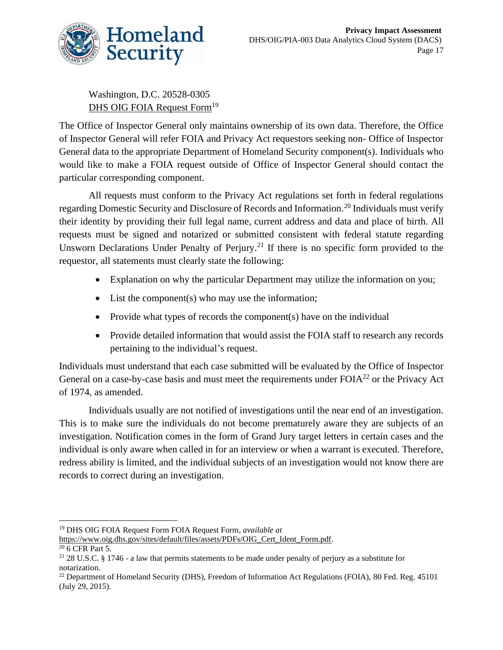![](_page_17_Picture_0.jpeg)

Washington, D.C. 20528-0305 [DHS OIG FOIA Request Form](https://www.oig.dhs.gov/sites/default/files/assets/PDFs/OIG_Cert_Ident_Form.pdf)<sup>19</sup>

The Office of Inspector General only maintains ownership of its own data. Therefore, the Office of Inspector General will refer FOIA and Privacy Act requestors seeking non- Office of Inspector General data to the appropriate Department of Homeland Security component(s). Individuals who would like to make a FOIA request outside of Office of Inspector General should contact the particular corresponding component.

All requests must conform to the Privacy Act regulations set forth in federal regulations regarding Domestic Security and Disclosure of Records and Information. <sup>20</sup> Individuals must verify their identity by providing their full legal name, current address and data and place of birth. All requests must be signed and notarized or submitted consistent with federal statute regarding Unsworn Declarations Under Penalty of Perjury.<sup>21</sup> If there is no specific form provided to the requestor, all statements must clearly state the following:

- Explanation on why the particular Department may utilize the information on you;
- List the component(s) who may use the information;
- Provide what types of records the component(s) have on the individual
- Provide detailed information that would assist the FOIA staff to research any records pertaining to the individual's request.

Individuals must understand that each case submitted will be evaluated by the Office of Inspector General on a case-by-case basis and must meet the requirements under FOIA<sup>22</sup> or the Privacy Act of 1974, as amended.

Individuals usually are not notified of investigations until the near end of an investigation. This is to make sure the individuals do not become prematurely aware they are subjects of an investigation. Notification comes in the form of Grand Jury target letters in certain cases and the individual is only aware when called in for an interview or when a warrant is executed. Therefore, redress ability is limited, and the individual subjects of an investigation would not know there are records to correct during an investigation.

<sup>19</sup> DHS OIG FOIA Request Form FOIA Request Form, *available at*

[https://www.oig.dhs.gov/sites/default/files/assets/PDFs/OIG\\_Cert\\_Ident\\_Form.pdf.](https://www.oig.dhs.gov/sites/default/files/assets/PDFs/OIG_Cert_Ident_Form.pdf)

<sup>20</sup> 6 CFR Part 5.

<sup>&</sup>lt;sup>21</sup> 28 U.S.C. § 1746 - a law that permits statements to be made under penalty of perjury as a substitute for notarization.

<sup>&</sup>lt;sup>22</sup> Department of Homeland Security (DHS), Freedom of Information Act Regulations (FOIA), 80 Fed. Reg. 45101 (July 29, 2015).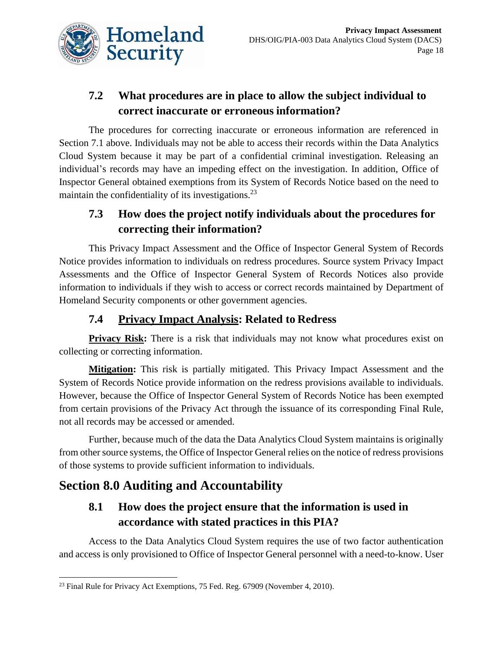![](_page_18_Picture_0.jpeg)

## **7.2 What procedures are in place to allow the subject individual to correct inaccurate or erroneous information?**

The procedures for correcting inaccurate or erroneous information are referenced in Section 7.1 above. Individuals may not be able to access their records within the Data Analytics Cloud System because it may be part of a confidential criminal investigation. Releasing an individual's records may have an impeding effect on the investigation. In addition, Office of Inspector General obtained exemptions from its System of Records Notice based on the need to maintain the confidentiality of its investigations. $^{23}$ 

## **7.3 How does the project notify individuals about the procedures for correcting their information?**

This Privacy Impact Assessment and the Office of Inspector General System of Records Notice provides information to individuals on redress procedures. Source system Privacy Impact Assessments and the Office of Inspector General System of Records Notices also provide information to individuals if they wish to access or correct records maintained by Department of Homeland Security components or other government agencies.

## **7.4 Privacy Impact Analysis: Related to Redress**

**Privacy Risk:** There is a risk that individuals may not know what procedures exist on collecting or correcting information.

**Mitigation:** This risk is partially mitigated. This Privacy Impact Assessment and the System of Records Notice provide information on the redress provisions available to individuals. However, because the Office of Inspector General System of Records Notice has been exempted from certain provisions of the Privacy Act through the issuance of its corresponding Final Rule, not all records may be accessed or amended.

Further, because much of the data the Data Analytics Cloud System maintains is originally from other source systems, the Office of Inspector General relies on the notice of redress provisions of those systems to provide sufficient information to individuals.

## **Section 8.0 Auditing and Accountability**

## **8.1 How does the project ensure that the information is used in accordance with stated practices in this PIA?**

Access to the Data Analytics Cloud System requires the use of two factor authentication and access is only provisioned to Office of Inspector General personnel with a need-to-know. User

<sup>&</sup>lt;sup>23</sup> Final Rule for Privacy Act Exemptions, 75 Fed. Reg. 67909 (November 4, 2010).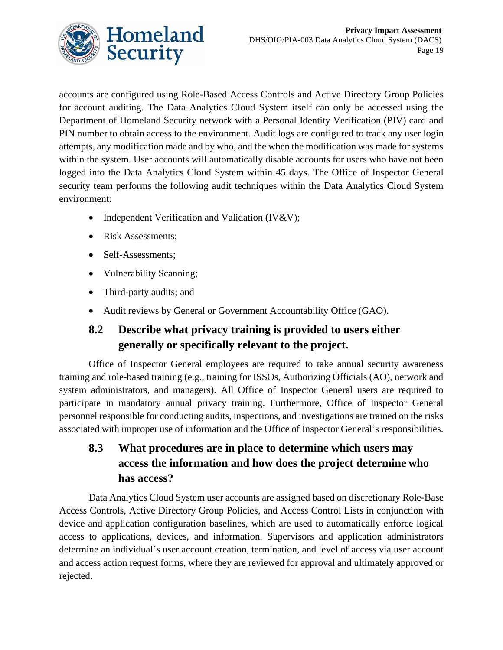![](_page_19_Picture_0.jpeg)

accounts are configured using Role-Based Access Controls and Active Directory Group Policies for account auditing. The Data Analytics Cloud System itself can only be accessed using the Department of Homeland Security network with a Personal Identity Verification (PIV) card and PIN number to obtain access to the environment. Audit logs are configured to track any user login attempts, any modification made and by who, and the when the modification was made for systems within the system. User accounts will automatically disable accounts for users who have not been logged into the Data Analytics Cloud System within 45 days. The Office of Inspector General security team performs the following audit techniques within the Data Analytics Cloud System environment:

- Independent Verification and Validation (IV&V);
- Risk Assessments:
- Self-Assessments;
- Vulnerability Scanning;
- Third-party audits; and
- Audit reviews by General or Government Accountability Office (GAO).

## **8.2 Describe what privacy training is provided to users either generally or specifically relevant to the project.**

Office of Inspector General employees are required to take annual security awareness training and role-based training (e.g., training for ISSOs, Authorizing Officials (AO), network and system administrators, and managers). All Office of Inspector General users are required to participate in mandatory annual privacy training. Furthermore, Office of Inspector General personnel responsible for conducting audits, inspections, and investigations are trained on the risks associated with improper use of information and the Office of Inspector General's responsibilities.

## **8.3 What procedures are in place to determine which users may access the information and how does the project determine who has access?**

Data Analytics Cloud System user accounts are assigned based on discretionary Role-Base Access Controls, Active Directory Group Policies, and Access Control Lists in conjunction with device and application configuration baselines, which are used to automatically enforce logical access to applications, devices, and information. Supervisors and application administrators determine an individual's user account creation, termination, and level of access via user account and access action request forms, where they are reviewed for approval and ultimately approved or rejected.